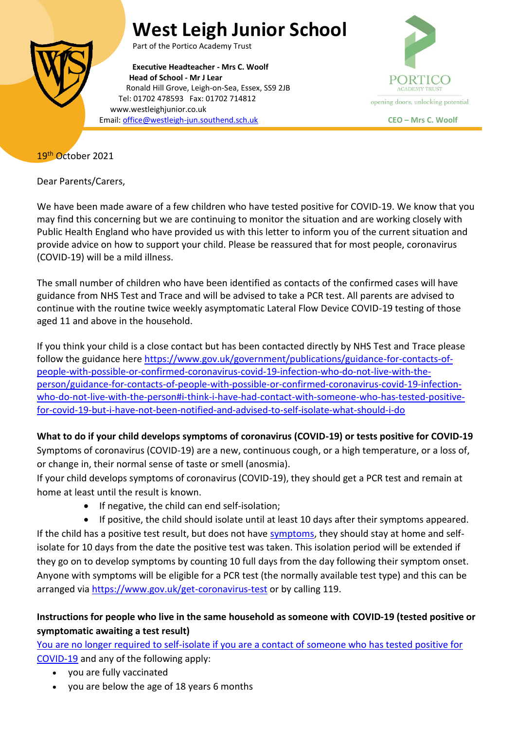# **West Leigh Junior School**



Part of the Portico Academy Trust

**Executive Headteacher - Mrs C. Woolf Head of School - Mr J Lear** Ronald Hill Grove, Leigh-on-Sea, Essex, SS9 2JB Tel: 01702 478593 Fax: 01702 714812 www.westleighjunior.co.uk Email[: office@westleigh-jun.southend.sch.uk](mailto:office@westleigh-jun.southend.sch.uk) **CEO – Mrs C. Woolf**



## 19th October 2021

Dear Parents/Carers,

We have been made aware of a few children who have tested positive for COVID-19. We know that you may find this concerning but we are continuing to monitor the situation and are working closely with Public Health England who have provided us with this letter to inform you of the current situation and provide advice on how to support your child. Please be reassured that for most people, coronavirus (COVID-19) will be a mild illness.

The small number of children who have been identified as contacts of the confirmed cases will have guidance from NHS Test and Trace and will be advised to take a PCR test. All parents are advised to continue with the routine twice weekly asymptomatic Lateral Flow Device COVID-19 testing of those aged 11 and above in the household.

If you think your child is a close contact but has been contacted directly by NHS Test and Trace please follow the guidance here [https://www.gov.uk/government/publications/guidance-for-contacts-of](https://www.gov.uk/government/publications/guidance-for-contacts-of-people-with-possible-or-confirmed-coronavirus-covid-19-infection-who-do-not-live-with-the-person/guidance-for-contacts-of-people-with-possible-or-confirmed-coronavirus-covid-19-infection-who-do-not-live-with-the-person#i-think-i-have-had-contact-with-someone-who-has-tested-positive-for-covid-19-but-i-have-not-been-notified-and-advised-to-self-isolate-what-should-i-do)[people-with-possible-or-confirmed-coronavirus-covid-19-infection-who-do-not-live-with-the](https://www.gov.uk/government/publications/guidance-for-contacts-of-people-with-possible-or-confirmed-coronavirus-covid-19-infection-who-do-not-live-with-the-person/guidance-for-contacts-of-people-with-possible-or-confirmed-coronavirus-covid-19-infection-who-do-not-live-with-the-person#i-think-i-have-had-contact-with-someone-who-has-tested-positive-for-covid-19-but-i-have-not-been-notified-and-advised-to-self-isolate-what-should-i-do)[person/guidance-for-contacts-of-people-with-possible-or-confirmed-coronavirus-covid-19-infection](https://www.gov.uk/government/publications/guidance-for-contacts-of-people-with-possible-or-confirmed-coronavirus-covid-19-infection-who-do-not-live-with-the-person/guidance-for-contacts-of-people-with-possible-or-confirmed-coronavirus-covid-19-infection-who-do-not-live-with-the-person#i-think-i-have-had-contact-with-someone-who-has-tested-positive-for-covid-19-but-i-have-not-been-notified-and-advised-to-self-isolate-what-should-i-do)[who-do-not-live-with-the-person#i-think-i-have-had-contact-with-someone-who-has-tested-positive](https://www.gov.uk/government/publications/guidance-for-contacts-of-people-with-possible-or-confirmed-coronavirus-covid-19-infection-who-do-not-live-with-the-person/guidance-for-contacts-of-people-with-possible-or-confirmed-coronavirus-covid-19-infection-who-do-not-live-with-the-person#i-think-i-have-had-contact-with-someone-who-has-tested-positive-for-covid-19-but-i-have-not-been-notified-and-advised-to-self-isolate-what-should-i-do)[for-covid-19-but-i-have-not-been-notified-and-advised-to-self-isolate-what-should-i-do](https://www.gov.uk/government/publications/guidance-for-contacts-of-people-with-possible-or-confirmed-coronavirus-covid-19-infection-who-do-not-live-with-the-person/guidance-for-contacts-of-people-with-possible-or-confirmed-coronavirus-covid-19-infection-who-do-not-live-with-the-person#i-think-i-have-had-contact-with-someone-who-has-tested-positive-for-covid-19-but-i-have-not-been-notified-and-advised-to-self-isolate-what-should-i-do)

**What to do if your child develops symptoms of coronavirus (COVID-19) or tests positive for COVID-19**

Symptoms of coronavirus (COVID-19) are a new, continuous cough, or a high temperature, or a loss of, or change in, their normal sense of taste or smell (anosmia).

If your child develops symptoms of coronavirus (COVID-19), they should get a PCR test and remain at home at least until the result is known.

If negative, the child can end self-isolation;

 If positive, the child should isolate until at least 10 days after their symptoms appeared. If the child has a positive test result, but does not have [symptoms,](https://www.gov.uk/government/publications/covid-19-stay-at-home-guidance/stay-at-home-guidance-for-households-with-possible-coronavirus-covid-19-infection#symptoms) they should stay at home and selfisolate for 10 days from the date the positive test was taken. This isolation period will be extended if they go on to develop symptoms by counting 10 full days from the day following their symptom onset. Anyone with symptoms will be eligible for a PCR test (the normally available test type) and this can be arranged via<https://www.gov.uk/get-coronavirus-test> or by calling 119.

## **Instructions for people who live in the same household as someone with COVID-19 (tested positive or symptomatic awaiting a test result)**

[You are no longer required to self-isolate if you are a contact of someone who has tested positive for](https://www.gov.uk/government/publications/covid-19-stay-at-home-guidance/stay-at-home-guidance-for-households-with-possible-coronavirus-covid-19-infection#exempt)  [COVID-19](https://www.gov.uk/government/publications/covid-19-stay-at-home-guidance/stay-at-home-guidance-for-households-with-possible-coronavirus-covid-19-infection#exempt) and any of the following apply:

- you are fully vaccinated
- you are below the age of 18 years 6 months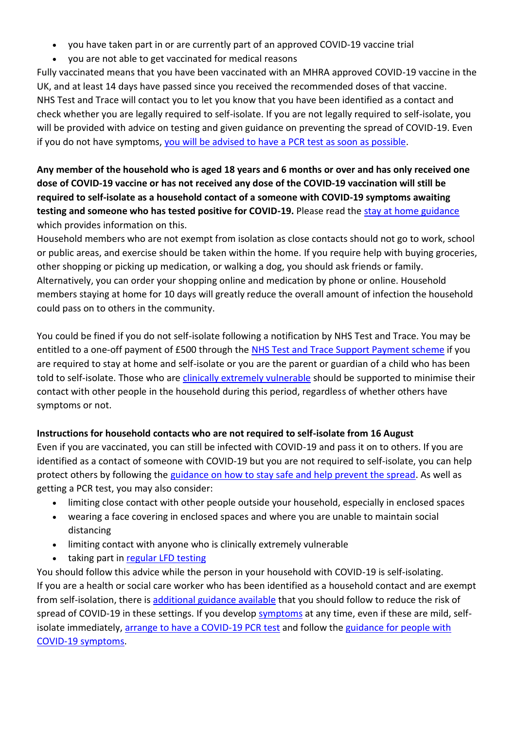- you have taken part in or are currently part of an approved COVID-19 vaccine trial
- you are not able to get vaccinated for medical reasons

Fully vaccinated means that you have been vaccinated with an MHRA approved COVID-19 vaccine in the UK, and at least 14 days have passed since you received the recommended doses of that vaccine. NHS Test and Trace will contact you to let you know that you have been identified as a contact and check whether you are legally required to self-isolate. If you are not legally required to self-isolate, you will be provided with advice on testing and given guidance on preventing the spread of COVID-19. Even if you do not have symptoms, [you will be advised to have a](https://www.gov.uk/government/publications/covid-19-stay-at-home-guidance/stay-at-home-guidance-for-households-with-possible-coronavirus-covid-19-infection#PCR) PCR test as soon as possible.

# **Any member of the household who is aged 18 years and 6 months or over and has only received one dose of COVID-19 vaccine or has not received any dose of the COVID-19 vaccination will still be required to self-isolate as a household contact of a someone with COVID-19 symptoms awaiting testing and someone who has tested positive for COVID-19.** Please read the [stay at home guidance](https://www.gov.uk/government/publications/covid-19-stay-at-home-guidance) which provides information on this.

Household members who are not exempt from isolation as close contacts should not go to work, school or public areas, and exercise should be taken within the home. If you require help with buying groceries, other shopping or picking up medication, or walking a dog, you should ask friends or family. Alternatively, you can order your shopping online and medication by phone or online. Household members staying at home for 10 days will greatly reduce the overall amount of infection the household could pass on to others in the community.

You could be fined if you do not self-isolate following a notification by NHS Test and Trace. You may be entitled to a one-off payment of £500 through the [NHS Test and Trace Support Payment scheme](https://www.gov.uk/government/publications/test-and-trace-support-payment-scheme-claiming-financial-support/claiming-financial-support-under-the-test-and-trace-support-payment-scheme) if you are required to stay at home and self-isolate or you are the parent or guardian of a child who has been told to self-isolate. Those who are [clinically extremely vulnerable](https://www.gov.uk/government/publications/guidance-on-shielding-and-protecting-extremely-vulnerable-persons-from-covid-19/guidance-on-shielding-and-protecting-extremely-vulnerable-persons-from-covid-19) should be supported to minimise their contact with other people in the household during this period, regardless of whether others have symptoms or not.

## **Instructions for household contacts who are not required to self-isolate from 16 August**

Even if you are vaccinated, you can still be infected with COVID-19 and pass it on to others. If you are identified as a contact of someone with COVID-19 but you are not required to self-isolate, you can help protect others by following the [guidance on how to stay safe and help prevent the spread.](https://www.gov.uk/guidance/covid-19-coronavirus-restrictions-what-you-can-and-cannot-do#keeping-yourself-and-others-safe) As well as getting a PCR test, you may also consider:

- limiting close contact with other people outside your household, especially in enclosed spaces
- wearing a face covering in enclosed spaces and where you are unable to maintain social distancing
- limiting contact with anyone who is clinically extremely vulnerable
- taking part in [regular](https://www.gov.uk/order-coronavirus-rapid-lateral-flow-tests) LFD testing

You should follow this advice while the person in your household with COVID-19 is self-isolating. If you are a health or social care worker who has been identified as a household contact and are exempt from self-isolation, there is [additional guidance available](https://www.gov.uk/government/publications/covid-19-management-of-exposed-healthcare-workers-and-patients-in-hospital-settings/covid-19-management-of-exposed-healthcare-workers-and-patients-in-hospital-settings) that you should follow to reduce the risk of spread of COVID-19 in these settings. If you develop [symptoms](https://www.gov.uk/government/publications/covid-19-stay-at-home-guidance/stay-at-home-guidance-for-households-with-possible-coronavirus-covid-19-infection#symptoms) at any time, even if these are mild, selfisolate immediately, [arrange to have a COVID-19](https://www.gov.uk/get-coronavirus-test) PCR test and follow the [guidance for people with](https://www.gov.uk/government/publications/covid-19-stay-at-home-guidance/stay-at-home-guidance-for-households-with-possible-coronavirus-covid-19-infection#SymptomsPositiveTest)  [COVID-19 symptoms.](https://www.gov.uk/government/publications/covid-19-stay-at-home-guidance/stay-at-home-guidance-for-households-with-possible-coronavirus-covid-19-infection#SymptomsPositiveTest)